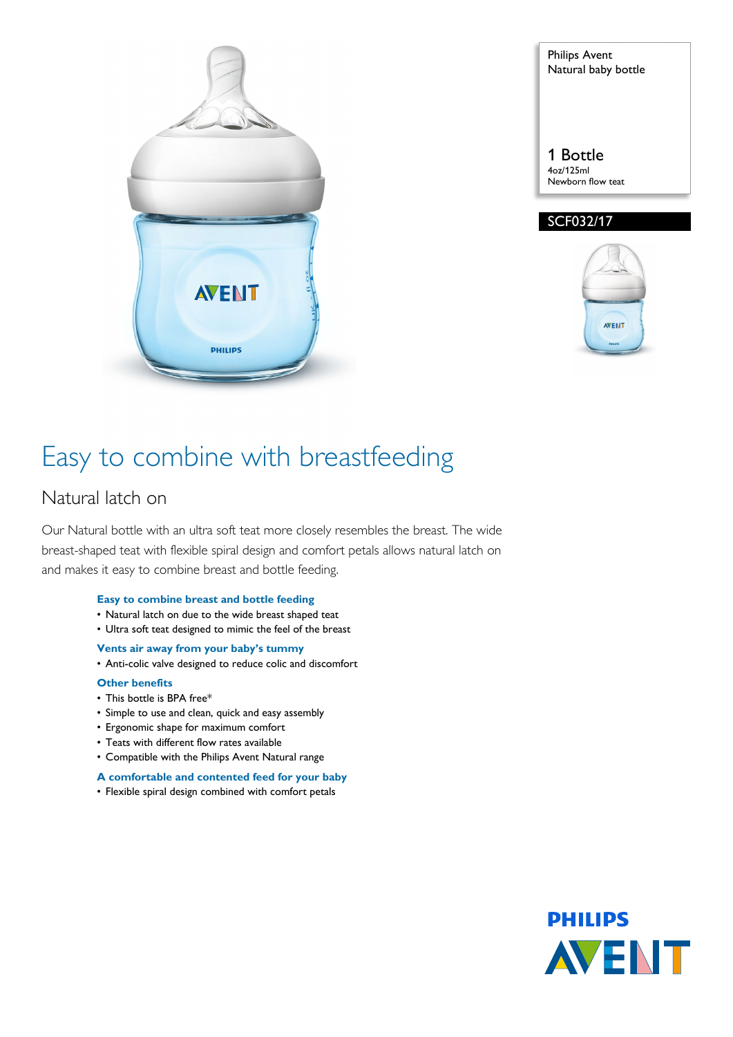

Philips Avent Natural baby bottle 1 Bottle 4oz/125ml

Newborn flow teat SCF032/17



# Easy to combine with breastfeeding

### Natural latch on

Our Natural bottle with an ultra soft teat more closely resembles the breast. The wide breast-shaped teat with flexible spiral design and comfort petals allows natural latch on and makes it easy to combine breast and bottle feeding.

#### **Easy to combine breast and bottle feeding**

- Natural latch on due to the wide breast shaped teat
- Ultra soft teat designed to mimic the feel of the breast
- **Vents air away from your baby's tummy**
- Anti-colic valve designed to reduce colic and discomfort

#### **Other benefits**

- This bottle is BPA free\*
- Simple to use and clean, quick and easy assembly
- Ergonomic shape for maximum comfort
- Teats with different flow rates available
- Compatible with the Philips Avent Natural range

#### **A comfortable and contented feed for your baby**

• Flexible spiral design combined with comfort petals

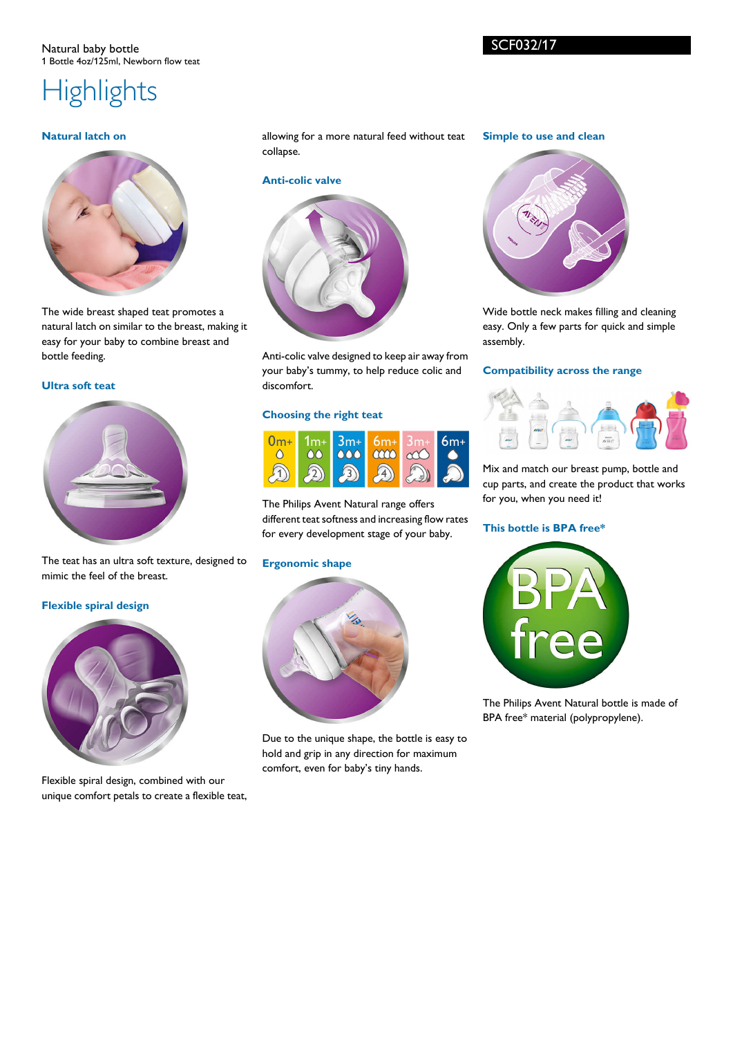# **Highlights**

#### **Natural latch on**



The wide breast shaped teat promotes a natural latch on similar to the breast, making it easy for your baby to combine breast and bottle feeding.

### **Ultra soft teat**



The teat has an ultra soft texture, designed to mimic the feel of the breast.

#### **Flexible spiral design**



Flexible spiral design, combined with our unique comfort petals to create a flexible teat, allowing for a more natural feed without teat collapse.

#### **Anti-colic valve**



Anti-colic valve designed to keep air away from your baby's tummy, to help reduce colic and discomfort.

#### **Choosing the right teat**



The Philips Avent Natural range offers different teat softness and increasing flow rates for every development stage of your baby.

#### **Ergonomic shape**



Due to the unique shape, the bottle is easy to hold and grip in any direction for maximum comfort, even for baby's tiny hands.

#### **Simple to use and clean**



Wide bottle neck makes filling and cleaning easy. Only a few parts for quick and simple assembly.

#### **Compatibility across the range**



Mix and match our breast pump, bottle and cup parts, and create the product that works for you, when you need it!

#### **This bottle is BPA free\***



The Philips Avent Natural bottle is made of BPA free\* material (polypropylene).

SCF032/17